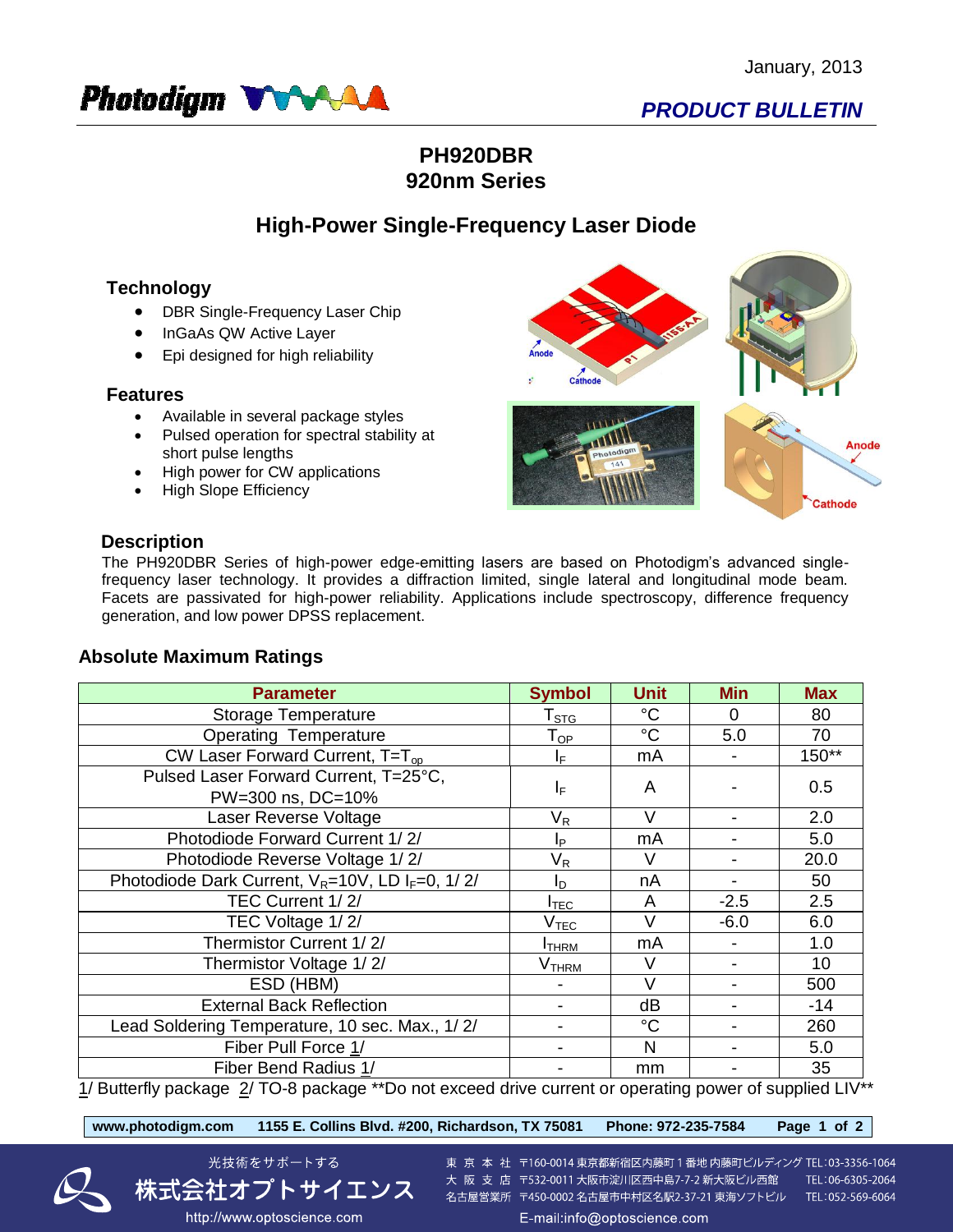

# *PRODUCT BULLETIN*

### **PH920DBR 920nm Series**

### **High-Power Single-Frequency Laser Diode**

### **Technology**

- DBR Single-Frequency Laser Chip
- InGaAs QW Active Layer
- Epi designed for high reliability

#### **Features**

- Available in several package styles
- Pulsed operation for spectral stability at short pulse lengths
- High power for CW applications
- High Slope Efficiency



#### **Description**

The PH920DBR Series of high-power edge-emitting lasers are based on Photodigm's advanced singlefrequency laser technology. It provides a diffraction limited, single lateral and longitudinal mode beam. Facets are passivated for high-power reliability. Applications include spectroscopy, difference frequency generation, and low power DPSS replacement.

#### **Absolute Maximum Ratings**

| <b>Parameter</b>                                                                                       | <b>Symbol</b>                | <b>Unit</b> | <b>Min</b>     | <b>Max</b> |  |  |  |
|--------------------------------------------------------------------------------------------------------|------------------------------|-------------|----------------|------------|--|--|--|
| <b>Storage Temperature</b>                                                                             | $\mathsf{T}_{\texttt{STG}}$  | $^{\circ}C$ | $\Omega$       | 80         |  |  |  |
| <b>Operating Temperature</b>                                                                           | $\mathsf{T}_{\mathsf{OP}}$   | $^{\circ}C$ | 5.0            | 70         |  |  |  |
| CW Laser Forward Current, $T=T_{op}$                                                                   | IF.                          | mA          |                | 150**      |  |  |  |
| Pulsed Laser Forward Current, T=25°C,<br>PW=300 ns, DC=10%                                             | ΙF                           | A           |                | 0.5        |  |  |  |
| Laser Reverse Voltage                                                                                  | $\mathsf{V}_\mathsf{R}$      | $\vee$      |                | 2.0        |  |  |  |
| Photodiode Forward Current 1/2/                                                                        | Ιp                           | mA          |                | 5.0        |  |  |  |
| Photodiode Reverse Voltage 1/2/                                                                        | $\mathsf{V}_\mathsf{R}$      | V           | $\blacksquare$ | 20.0       |  |  |  |
| Photodiode Dark Current, $V_R = 10V$ , LD I <sub>F</sub> =0, 1/2/                                      | I <sub>D</sub>               | nA          | $\blacksquare$ | 50         |  |  |  |
| TEC Current 1/2/                                                                                       | $I_{\text{TEC}}$             | A           | $-2.5$         | 2.5        |  |  |  |
| TEC Voltage 1/2/                                                                                       | $\mathsf{V}_{\mathsf{TEC}}$  | V           | $-6.0$         | 6.0        |  |  |  |
| Thermistor Current 1/2/                                                                                | <b>I</b> THRM                | mA          |                | 1.0        |  |  |  |
| Thermistor Voltage 1/2/                                                                                | $\mathsf{V}_{\mathsf{THRM}}$ | V           |                | 10         |  |  |  |
| ESD (HBM)                                                                                              |                              | $\vee$      |                | 500        |  |  |  |
| <b>External Back Reflection</b>                                                                        |                              | dB          |                | $-14$      |  |  |  |
| Lead Soldering Temperature, 10 sec. Max., 1/2/                                                         |                              | $^{\circ}C$ |                | 260        |  |  |  |
| Fiber Pull Force 1/                                                                                    |                              | N           |                | 5.0        |  |  |  |
| Fiber Bend Radius 1/                                                                                   |                              | mm          |                | 35         |  |  |  |
| 1/ Butterfly package 2/ TO-8 package ** Do not exceed drive current or operating power of supplied LIV |                              |             |                |            |  |  |  |

3utterfly package .<u>2</u>/ TO-8 package \*\*Do not exceed drive current or operating power of supplied LIV\*\*

**www.photodigm.com 1155 E. Collins Blvd. #200, Richardson, TX 75081 Phone: 972-235-7584 Page 1 of 2** 



東 京 本 社 〒160-0014 東京都新宿区内藤町 1 番地 内藤町ビルディング TEL:03-3356-1064 大阪支店 〒532-0011 大阪市淀川区西中島7-7-2 新大阪ビル西館 TEL:06-6305-2064 名古屋営業所 〒450-0002 名古屋市中村区名駅2-37-21 東海ソフトビル TEL:052-569-6064 E-mail:info@optoscience.com

:式会社オプトサイエンス http://www.optoscience.com

光技術をサポートする